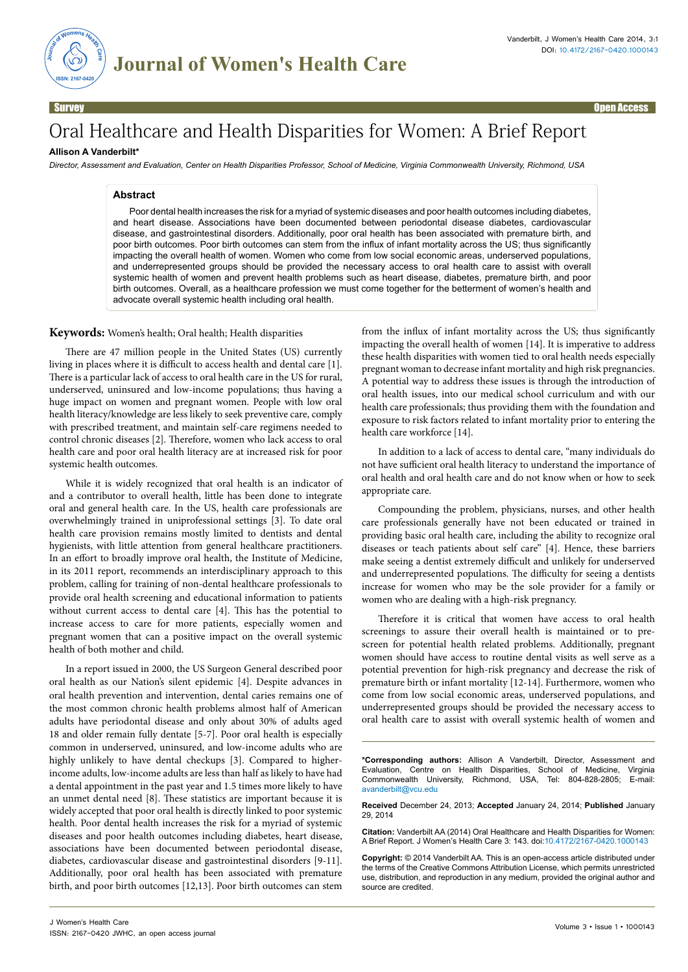

Survey **of the contract of the contract of the contract of the contract of the contract of the contract of the contract of the contract of the contract of the contract of the contract of the contract of the contract of the** 

# Oral Healthcare and Health Disparities for Women: A Brief Report

## **Allison A Vanderbilt\***

*Director, Assessment and Evaluation, Center on Health Disparities Professor, School of Medicine, Virginia Commonwealth University, Richmond, USA*

## **Abstract**

Poor dental health increases the risk for a myriad of systemic diseases and poor health outcomes including diabetes, and heart disease. Associations have been documented between periodontal disease diabetes, cardiovascular disease, and gastrointestinal disorders. Additionally, poor oral health has been associated with premature birth, and poor birth outcomes. Poor birth outcomes can stem from the influx of infant mortality across the US; thus significantly impacting the overall health of women. Women who come from low social economic areas, underserved populations, and underrepresented groups should be provided the necessary access to oral health care to assist with overall systemic health of women and prevent health problems such as heart disease, diabetes, premature birth, and poor birth outcomes. Overall, as a healthcare profession we must come together for the betterment of women's health and advocate overall systemic health including oral health.

#### **Keywords:** Women's health; Oral health; Health disparities

There are 47 million people in the United States (US) currently living in places where it is difficult to access health and dental care [1]. There is a particular lack of access to oral health care in the US for rural, underserved, uninsured and low-income populations; thus having a huge impact on women and pregnant women. People with low oral health literacy/knowledge are less likely to seek preventive care, comply with prescribed treatment, and maintain self-care regimens needed to control chronic diseases [2]. Therefore, women who lack access to oral health care and poor oral health literacy are at increased risk for poor systemic health outcomes.

While it is widely recognized that oral health is an indicator of and a contributor to overall health, little has been done to integrate oral and general health care. In the US, health care professionals are overwhelmingly trained in uniprofessional settings [3]. To date oral health care provision remains mostly limited to dentists and dental hygienists, with little attention from general healthcare practitioners. In an effort to broadly improve oral health, the Institute of Medicine, in its 2011 report, recommends an interdisciplinary approach to this problem, calling for training of non-dental healthcare professionals to provide oral health screening and educational information to patients without current access to dental care [4]. This has the potential to increase access to care for more patients, especially women and pregnant women that can a positive impact on the overall systemic health of both mother and child.

In a report issued in 2000, the US Surgeon General described poor oral health as our Nation's silent epidemic [4]. Despite advances in oral health prevention and intervention, dental caries remains one of the most common chronic health problems almost half of American adults have periodontal disease and only about 30% of adults aged 18 and older remain fully dentate [5-7]. Poor oral health is especially common in underserved, uninsured, and low-income adults who are highly unlikely to have dental checkups [3]. Compared to higherincome adults, low-income adults are less than half as likely to have had a dental appointment in the past year and 1.5 times more likely to have an unmet dental need [8]. These statistics are important because it is widely accepted that poor oral health is directly linked to poor systemic health. Poor dental health increases the risk for a myriad of systemic diseases and poor health outcomes including diabetes, heart disease, associations have been documented between periodontal disease, diabetes, cardiovascular disease and gastrointestinal disorders [9-11]. Additionally, poor oral health has been associated with premature birth, and poor birth outcomes [12,13]. Poor birth outcomes can stem

from the influx of infant mortality across the US; thus significantly impacting the overall health of women [14]. It is imperative to address these health disparities with women tied to oral health needs especially pregnant woman to decrease infant mortality and high risk pregnancies. A potential way to address these issues is through the introduction of oral health issues, into our medical school curriculum and with our health care professionals; thus providing them with the foundation and exposure to risk factors related to infant mortality prior to entering the health care workforce [14].

In addition to a lack of access to dental care, "many individuals do not have sufficient oral health literacy to understand the importance of oral health and oral health care and do not know when or how to seek appropriate care.

Compounding the problem, physicians, nurses, and other health care professionals generally have not been educated or trained in providing basic oral health care, including the ability to recognize oral diseases or teach patients about self care" [4]. Hence, these barriers make seeing a dentist extremely difficult and unlikely for underserved and underrepresented populations. The difficulty for seeing a dentists increase for women who may be the sole provider for a family or women who are dealing with a high-risk pregnancy.

Therefore it is critical that women have access to oral health screenings to assure their overall health is maintained or to prescreen for potential health related problems. Additionally, pregnant women should have access to routine dental visits as well serve as a potential prevention for high-risk pregnancy and decrease the risk of premature birth or infant mortality [12-14]. Furthermore, women who come from low social economic areas, underserved populations, and underrepresented groups should be provided the necessary access to oral health care to assist with overall systemic health of women and

**\*Corresponding authors:** Allison A Vanderbilt, Director, Assessment and Evaluation, Centre on Health Disparities, School of Medicine, Virginia Commonwealth University, Richmond, USA, Tel: 804-828-2805; E-mail: avanderbilt@vcu.edu

**Received** December 24, 2013; **Accepted** January 24, 2014; **Published** January 29, 2014

**Citation:** Vanderbilt AA (2014) Oral Healthcare and Health Disparities for Women: A Brief Report. J Women's Health Care 3: 143. doi:10.4172/2167-0420.1000143

**Copyright:** © 2014 Vanderbilt AA. This is an open-access article distributed under the terms of the Creative Commons Attribution License, which permits unrestricted use, distribution, and reproduction in any medium, provided the original author and source are credited.